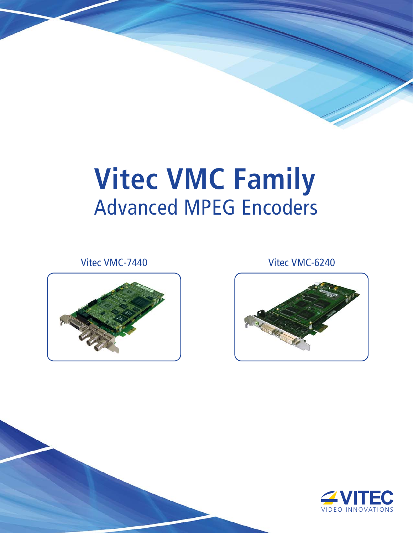# **Vitec VMC Family** Advanced MPEG Encoders

Vitec VMC-7440 Vitec VMC-6240





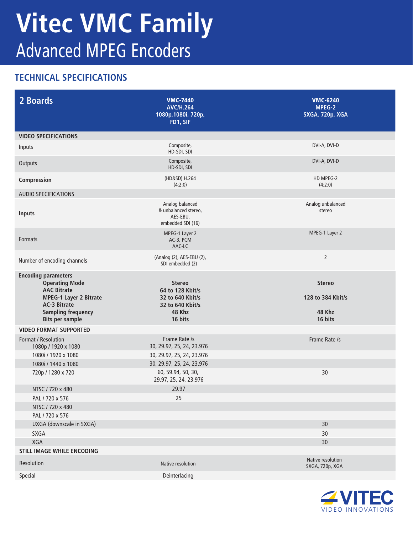## **Vitec VMC Family** Advanced MPEG Encoders

### **TECHNICAL SPECIFICATIONS**

| 2 Boards                                                                                                                                                                                 | <b>VMC-7440</b><br><b>AVC/H.264</b><br>1080p, 1080i, 720p,<br>FD1, SIF                         | <b>VMC-6240</b><br>MPEG-2<br><b>SXGA, 720p, XGA</b>     |
|------------------------------------------------------------------------------------------------------------------------------------------------------------------------------------------|------------------------------------------------------------------------------------------------|---------------------------------------------------------|
| <b>VIDEO SPECIFICATIONS</b>                                                                                                                                                              |                                                                                                |                                                         |
| Inputs                                                                                                                                                                                   | Composite,<br>HD-SDI, SDI                                                                      | DVI-A, DVI-D                                            |
| Outputs                                                                                                                                                                                  | Composite,<br>HD-SDI, SDI                                                                      | DVI-A, DVI-D                                            |
| Compression                                                                                                                                                                              | (HD&SD) H.264<br>(4:2:0)                                                                       | HD MPEG-2<br>(4:2:0)                                    |
| <b>AUDIO SPECIFICATIONS</b>                                                                                                                                                              |                                                                                                |                                                         |
| <b>Inputs</b>                                                                                                                                                                            | Analog balanced<br>& unbalanced stereo,<br>AES-EBU,<br>embedded SDI (16)                       | Analog unbalanced<br>stereo                             |
| Formats                                                                                                                                                                                  | MPEG-1 Layer 2<br>AC-3, PCM<br>AAC-LC                                                          | MPEG-1 Layer 2                                          |
| Number of encoding channels                                                                                                                                                              | (Analog (2), AES-EBU (2),<br>SDI embedded (2)                                                  | $\overline{2}$                                          |
| <b>Encoding parameters</b><br><b>Operating Mode</b><br><b>AAC Bitrate</b><br><b>MPEG-1 Layer 2 Bitrate</b><br><b>AC-3 Bitrate</b><br><b>Sampling frequency</b><br><b>Bits per sample</b> | <b>Stereo</b><br>64 to 128 Kbit/s<br>32 to 640 Kbit/s<br>32 to 640 Kbit/s<br>48 Khz<br>16 bits | <b>Stereo</b><br>128 to 384 Kbit/s<br>48 Khz<br>16 bits |
| <b>VIDEO FORMAT SUPPORTED</b>                                                                                                                                                            |                                                                                                |                                                         |
| Format / Resolution<br>1080p / 1920 x 1080                                                                                                                                               | Frame Rate /s<br>30, 29.97, 25, 24, 23.976                                                     | Frame Rate /s                                           |
| 1080i / 1920 x 1080                                                                                                                                                                      | 30, 29.97, 25, 24, 23.976                                                                      |                                                         |
| 1080i / 1440 x 1080                                                                                                                                                                      | 30, 29.97, 25, 24, 23.976                                                                      |                                                         |
| 720p / 1280 x 720                                                                                                                                                                        | 60, 59.94, 50, 30,<br>29.97, 25, 24, 23.976                                                    | 30                                                      |
| NTSC / 720 x 480                                                                                                                                                                         | 29.97                                                                                          |                                                         |
| PAL / 720 x 576                                                                                                                                                                          | 25                                                                                             |                                                         |
| NTSC / 720 x 480                                                                                                                                                                         |                                                                                                |                                                         |
| PAL / 720 x 576                                                                                                                                                                          |                                                                                                |                                                         |
| UXGA (downscale in SXGA)                                                                                                                                                                 |                                                                                                | 30                                                      |
| SXGA                                                                                                                                                                                     |                                                                                                | 30                                                      |
| XGA                                                                                                                                                                                      |                                                                                                | 30                                                      |
| <b>STILL IMAGE WHILE ENCODING</b>                                                                                                                                                        |                                                                                                | Native resolution                                       |
| Resolution                                                                                                                                                                               | Native resolution                                                                              | SXGA, 720p, XGA                                         |
| Special                                                                                                                                                                                  | Deinterlacing                                                                                  |                                                         |

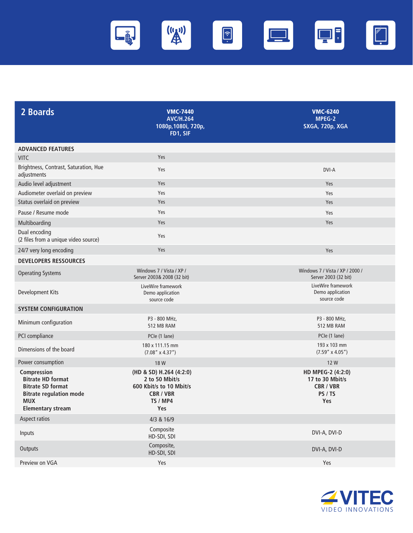

| 2 Boards                                                                                                                                        | <b>VMC-7440</b><br><b>AVC/H.264</b><br>1080p, 1080i, 720p,<br>FD1, SIF                                      | <b>VMC-6240</b><br>MPEG-2<br><b>SXGA, 720p, XGA</b>                        |
|-------------------------------------------------------------------------------------------------------------------------------------------------|-------------------------------------------------------------------------------------------------------------|----------------------------------------------------------------------------|
| <b>ADVANCED FEATURES</b>                                                                                                                        |                                                                                                             |                                                                            |
| <b>VITC</b>                                                                                                                                     | Yes                                                                                                         |                                                                            |
| Brightness, Contrast, Saturation, Hue<br>adjustments                                                                                            | Yes                                                                                                         | DVI-A                                                                      |
| Audio level adjustment                                                                                                                          | Yes                                                                                                         | Yes                                                                        |
| Audiometer overlaid on preview                                                                                                                  | Yes                                                                                                         | Yes                                                                        |
| Status overlaid on preview                                                                                                                      | Yes                                                                                                         | Yes                                                                        |
| Pause / Resume mode                                                                                                                             | Yes                                                                                                         | Yes                                                                        |
| Multiboarding                                                                                                                                   | Yes                                                                                                         | Yes                                                                        |
| Dual encoding<br>(2 files from a unique video source)                                                                                           | Yes                                                                                                         |                                                                            |
| 24/7 very long encoding                                                                                                                         | Yes                                                                                                         | Yes                                                                        |
| <b>DEVELOPERS RESSOURCES</b>                                                                                                                    |                                                                                                             |                                                                            |
| <b>Operating Systems</b>                                                                                                                        | Windows 7 / Vista / XP /<br>Server 2003& 2008 (32 bit)                                                      | Windows 7 / Vista / XP / 2000 /<br>Server 2003 (32 bit)                    |
| Development Kits                                                                                                                                | LiveWire framework<br>Demo application<br>source code                                                       | LiveWire framework<br>Demo application<br>source code                      |
| <b>SYSTEM CONFIGURATION</b>                                                                                                                     |                                                                                                             |                                                                            |
| Minimum configuration                                                                                                                           | P3 - 800 MHz,<br>512 MB RAM                                                                                 | P3 - 800 MHz,<br>512 MB RAM                                                |
| PCI compliance                                                                                                                                  | PCle (1 lane)                                                                                               | PCIe (1 lane)                                                              |
| Dimensions of the board                                                                                                                         | 180 x 111.15 mm<br>$(7.08'' \times 4.37'')$                                                                 | 193 x 103 mm<br>$(7.59'' \times 4.05'')$                                   |
| Power consumption                                                                                                                               | 18 W                                                                                                        | 12 W                                                                       |
| Compression<br><b>Bitrate HD format</b><br><b>Bitrate SD format</b><br><b>Bitrate regulation mode</b><br><b>MUX</b><br><b>Elementary stream</b> | (HD & SD) H.264 (4:2:0)<br>2 to 50 Mbit/s<br>600 Kbit/s to 10 Mbit/s<br><b>CBR / VBR</b><br>TS / MP4<br>Yes | HD MPEG-2 (4:2:0)<br>17 to 30 Mbit/s<br><b>CBR / VBR</b><br>PS / TS<br>Yes |
| Aspect ratios                                                                                                                                   | 4/3 & 16/9                                                                                                  |                                                                            |
| Inputs                                                                                                                                          | Composite<br>HD-SDI, SDI                                                                                    | DVI-A, DVI-D                                                               |
| Outputs                                                                                                                                         | Composite,<br>HD-SDI, SDI                                                                                   | DVI-A, DVI-D                                                               |
| Preview on VGA                                                                                                                                  | Yes                                                                                                         | Yes                                                                        |